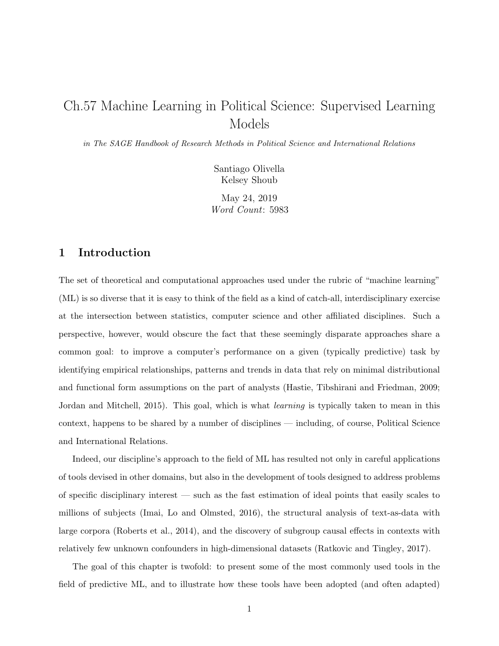# Ch.57 Machine Learning in Political Science: Supervised Learning Models

in The SAGE Handbook of Research Methods in Political Science and International Relations

Santiago Olivella Kelsey Shoub

May 24, 2019 Word Count: 5983

### 1 Introduction

The set of theoretical and computational approaches used under the rubric of "machine learning" (ML) is so diverse that it is easy to think of the field as a kind of catch-all, interdisciplinary exercise at the intersection between statistics, computer science and other affiliated disciplines. Such a perspective, however, would obscure the fact that these seemingly disparate approaches share a common goal: to improve a computer's performance on a given (typically predictive) task by identifying empirical relationships, patterns and trends in data that rely on minimal distributional and functional form assumptions on the part of analysts [\(Hastie, Tibshirani and Friedman, 2009;](#page-22-0) [Jordan and Mitchell, 2015\)](#page-23-0). This goal, which is what *learning* is typically taken to mean in this context, happens to be shared by a number of disciplines — including, of course, Political Science and International Relations.

Indeed, our discipline's approach to the field of ML has resulted not only in careful applications of tools devised in other domains, but also in the development of tools designed to address problems of specific disciplinary interest — such as the fast estimation of ideal points that easily scales to millions of subjects [\(Imai, Lo and Olmsted, 2016\)](#page-22-1), the structural analysis of text-as-data with large corpora [\(Roberts et al., 2014\)](#page-23-1), and the discovery of subgroup causal effects in contexts with relatively few unknown confounders in high-dimensional datasets [\(Ratkovic and Tingley, 2017\)](#page-23-2).

The goal of this chapter is twofold: to present some of the most commonly used tools in the field of predictive ML, and to illustrate how these tools have been adopted (and often adapted)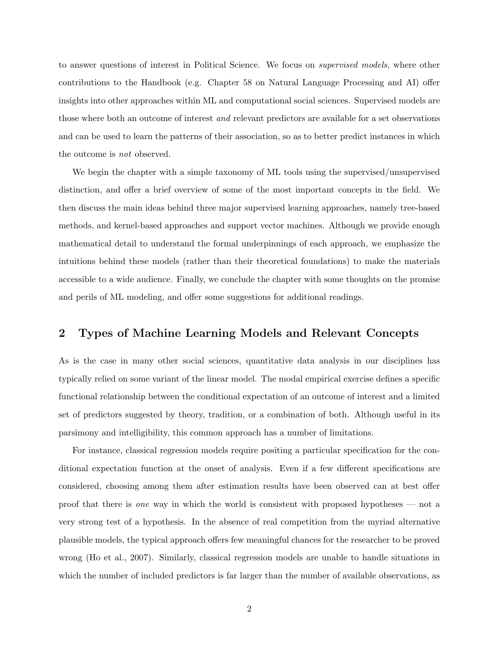to answer questions of interest in Political Science. We focus on supervised models, where other contributions to the Handbook (e.g. Chapter 58 on Natural Language Processing and AI) offer insights into other approaches within ML and computational social sciences. Supervised models are those where both an outcome of interest and relevant predictors are available for a set observations and can be used to learn the patterns of their association, so as to better predict instances in which the outcome is not observed.

We begin the chapter with a simple taxonomy of ML tools using the supervised/unsupervised distinction, and offer a brief overview of some of the most important concepts in the field. We then discuss the main ideas behind three major supervised learning approaches, namely tree-based methods, and kernel-based approaches and support vector machines. Although we provide enough mathematical detail to understand the formal underpinnings of each approach, we emphasize the intuitions behind these models (rather than their theoretical foundations) to make the materials accessible to a wide audience. Finally, we conclude the chapter with some thoughts on the promise and perils of ML modeling, and offer some suggestions for additional readings.

### 2 Types of Machine Learning Models and Relevant Concepts

As is the case in many other social sciences, quantitative data analysis in our disciplines has typically relied on some variant of the linear model. The modal empirical exercise defines a specific functional relationship between the conditional expectation of an outcome of interest and a limited set of predictors suggested by theory, tradition, or a combination of both. Although useful in its parsimony and intelligibility, this common approach has a number of limitations.

For instance, classical regression models require positing a particular specification for the conditional expectation function at the onset of analysis. Even if a few different specifications are considered, choosing among them after estimation results have been observed can at best offer proof that there is one way in which the world is consistent with proposed hypotheses — not a very strong test of a hypothesis. In the absence of real competition from the myriad alternative plausible models, the typical approach offers few meaningful chances for the researcher to be proved wrong [\(Ho et al., 2007\)](#page-22-2). Similarly, classical regression models are unable to handle situations in which the number of included predictors is far larger than the number of available observations, as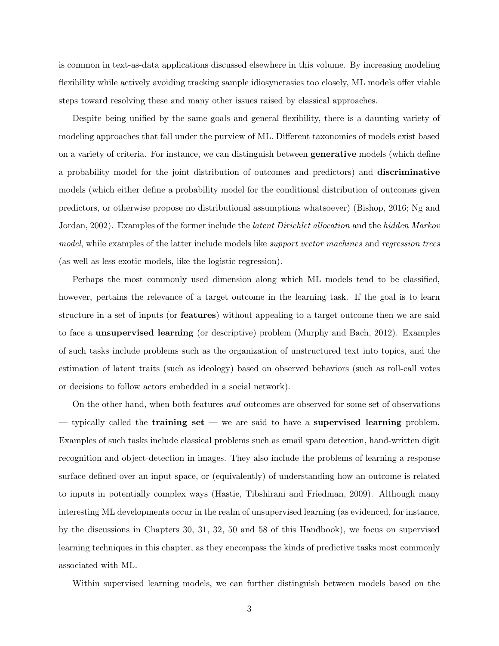is common in text-as-data applications discussed elsewhere in this volume. By increasing modeling flexibility while actively avoiding tracking sample idiosyncrasies too closely, ML models offer viable steps toward resolving these and many other issues raised by classical approaches.

Despite being unified by the same goals and general flexibility, there is a daunting variety of modeling approaches that fall under the purview of ML. Different taxonomies of models exist based on a variety of criteria. For instance, we can distinguish between generative models (which define a probability model for the joint distribution of outcomes and predictors) and discriminative models (which either define a probability model for the conditional distribution of outcomes given predictors, or otherwise propose no distributional assumptions whatsoever) [\(Bishop, 2016;](#page-21-0) [Ng and](#page-23-3) [Jordan, 2002\)](#page-23-3). Examples of the former include the *latent Dirichlet allocation* and the *hidden Markov* model, while examples of the latter include models like *support vector machines* and *regression trees* (as well as less exotic models, like the logistic regression).

Perhaps the most commonly used dimension along which ML models tend to be classified, however, pertains the relevance of a target outcome in the learning task. If the goal is to learn structure in a set of inputs (or features) without appealing to a target outcome then we are said to face a unsupervised learning (or descriptive) problem [\(Murphy and Bach, 2012\)](#page-23-4). Examples of such tasks include problems such as the organization of unstructured text into topics, and the estimation of latent traits (such as ideology) based on observed behaviors (such as roll-call votes or decisions to follow actors embedded in a social network).

On the other hand, when both features and outcomes are observed for some set of observations  $-$  typically called the **training set**  $-$  we are said to have a **supervised learning** problem. Examples of such tasks include classical problems such as email spam detection, hand-written digit recognition and object-detection in images. They also include the problems of learning a response surface defined over an input space, or (equivalently) of understanding how an outcome is related to inputs in potentially complex ways [\(Hastie, Tibshirani and Friedman, 2009\)](#page-22-0). Although many interesting ML developments occur in the realm of unsupervised learning (as evidenced, for instance, by the discussions in Chapters 30, 31, 32, 50 and 58 of this Handbook), we focus on supervised learning techniques in this chapter, as they encompass the kinds of predictive tasks most commonly associated with ML.

Within supervised learning models, we can further distinguish between models based on the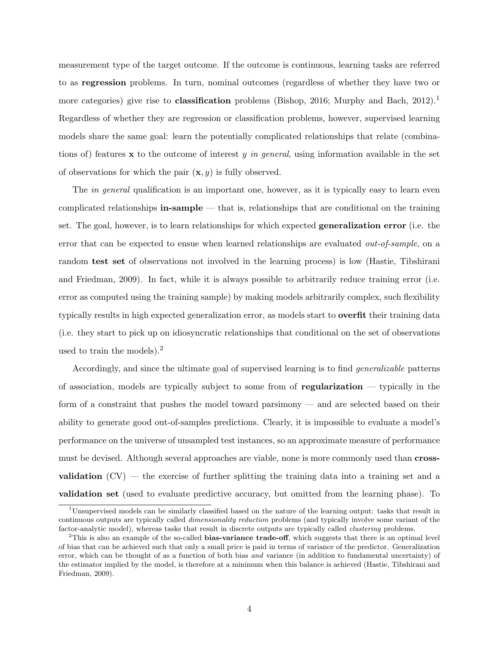measurement type of the target outcome. If the outcome is continuous, learning tasks are referred to as regression problems. In turn, nominal outcomes (regardless of whether they have two or more categories) give rise to **classification** problems [\(Bishop, 2016;](#page-21-0) [Murphy and Bach, 2012\)](#page-23-4).<sup>[1](#page-3-0)</sup> Regardless of whether they are regression or classification problems, however, supervised learning models share the same goal: learn the potentially complicated relationships that relate (combinations of) features x to the outcome of interest y in general, using information available in the set of observations for which the pair  $(\mathbf{x}, y)$  is fully observed.

The *in general* qualification is an important one, however, as it is typically easy to learn even complicated relationships **in-sample** — that is, relationships that are conditional on the training set. The goal, however, is to learn relationships for which expected generalization error (i.e. the error that can be expected to ensue when learned relationships are evaluated out-of-sample, on a random test set of observations not involved in the learning process) is low [\(Hastie, Tibshirani](#page-22-0) [and Friedman, 2009\)](#page-22-0). In fact, while it is always possible to arbitrarily reduce training error (i.e. error as computed using the training sample) by making models arbitrarily complex, such flexibility typically results in high expected generalization error, as models start to overfit their training data (i.e. they start to pick up on idiosyncratic relationships that conditional on the set of observations used to train the models).<sup>[2](#page-3-1)</sup>

Accordingly, and since the ultimate goal of supervised learning is to find generalizable patterns of association, models are typically subject to some from of regularization — typically in the form of a constraint that pushes the model toward parsimony — and are selected based on their ability to generate good out-of-samples predictions. Clearly, it is impossible to evaluate a model's performance on the universe of unsampled test instances, so an approximate measure of performance must be devised. Although several approaches are viable, none is more commonly used than **cross**validation  $(CV)$  — the exercise of further splitting the training data into a training set and a validation set (used to evaluate predictive accuracy, but omitted from the learning phase). To

<span id="page-3-0"></span><sup>1</sup>Unsupervised models can be similarly classified based on the nature of the learning output: tasks that result in continuous outputs are typically called dimensionality reduction problems (and typically involve some variant of the factor-analytic model), whereas tasks that result in discrete outputs are typically called clustering problems.

<span id="page-3-1"></span> $2$ This is also an example of the so-called bias-variance trade-off, which suggests that there is an optimal level of bias that can be achieved such that only a small price is paid in terms of variance of the predictor. Generalization error, which can be thought of as a function of both bias and variance (in addition to fundamental uncertainty) of the estimator implied by the model, is therefore at a minimum when this balance is achieved [\(Hastie, Tibshirani and](#page-22-0) [Friedman, 2009\)](#page-22-0).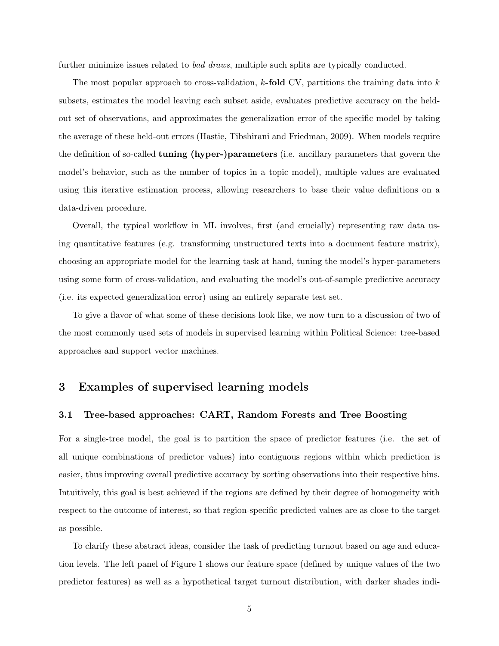further minimize issues related to *bad draws*, multiple such splits are typically conducted.

The most popular approach to cross-validation,  $k$ -fold CV, partitions the training data into  $k$ subsets, estimates the model leaving each subset aside, evaluates predictive accuracy on the heldout set of observations, and approximates the generalization error of the specific model by taking the average of these held-out errors [\(Hastie, Tibshirani and Friedman, 2009\)](#page-22-0). When models require the definition of so-called tuning (hyper-)parameters (i.e. ancillary parameters that govern the model's behavior, such as the number of topics in a topic model), multiple values are evaluated using this iterative estimation process, allowing researchers to base their value definitions on a data-driven procedure.

Overall, the typical workflow in ML involves, first (and crucially) representing raw data using quantitative features (e.g. transforming unstructured texts into a document feature matrix), choosing an appropriate model for the learning task at hand, tuning the model's hyper-parameters using some form of cross-validation, and evaluating the model's out-of-sample predictive accuracy (i.e. its expected generalization error) using an entirely separate test set.

To give a flavor of what some of these decisions look like, we now turn to a discussion of two of the most commonly used sets of models in supervised learning within Political Science: tree-based approaches and support vector machines.

## 3 Examples of supervised learning models

### 3.1 Tree-based approaches: CART, Random Forests and Tree Boosting

For a single-tree model, the goal is to partition the space of predictor features (i.e. the set of all unique combinations of predictor values) into contiguous regions within which prediction is easier, thus improving overall predictive accuracy by sorting observations into their respective bins. Intuitively, this goal is best achieved if the regions are defined by their degree of homogeneity with respect to the outcome of interest, so that region-specific predicted values are as close to the target as possible.

To clarify these abstract ideas, consider the task of predicting turnout based on age and education levels. The left panel of Figure [1](#page-5-0) shows our feature space (defined by unique values of the two predictor features) as well as a hypothetical target turnout distribution, with darker shades indi-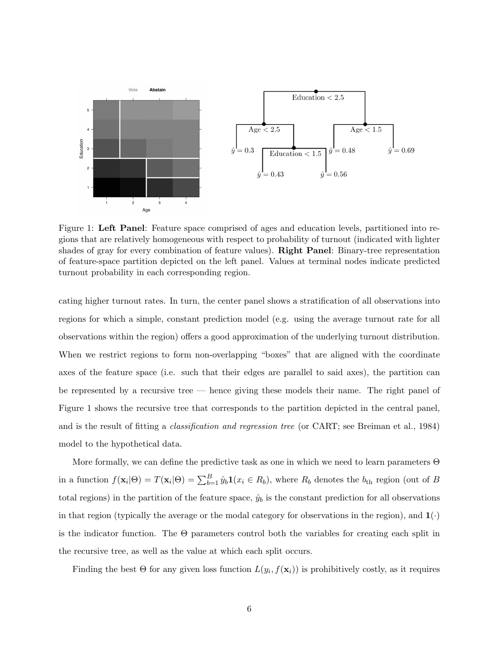<span id="page-5-0"></span>

Figure 1: Left Panel: Feature space comprised of ages and education levels, partitioned into regions that are relatively homogeneous with respect to probability of turnout (indicated with lighter shades of gray for every combination of feature values). Right Panel: Binary-tree representation of feature-space partition depicted on the left panel. Values at terminal nodes indicate predicted turnout probability in each corresponding region.

cating higher turnout rates. In turn, the center panel shows a stratification of all observations into regions for which a simple, constant prediction model (e.g. using the average turnout rate for all observations within the region) offers a good approximation of the underlying turnout distribution. When we restrict regions to form non-overlapping "boxes" that are aligned with the coordinate axes of the feature space (i.e. such that their edges are parallel to said axes), the partition can be represented by a recursive tree — hence giving these models their name. The right panel of Figure [1](#page-5-0) shows the recursive tree that corresponds to the partition depicted in the central panel, and is the result of fitting a classification and regression tree (or CART; see [Breiman et al., 1984\)](#page-21-1) model to the hypothetical data.

More formally, we can define the predictive task as one in which we need to learn parameters Θ in a function  $f(\mathbf{x}_i|\Theta) = T(\mathbf{x}_i|\Theta) = \sum_{b=1}^B \hat{y}_b \mathbf{1}(x_i \in R_b)$ , where  $R_b$  denotes the  $b_{th}$  region (out of B total regions) in the partition of the feature space,  $\hat{y}_b$  is the constant prediction for all observations in that region (typically the average or the modal category for observations in the region), and  $\mathbf{1}(\cdot)$ is the indicator function. The  $\Theta$  parameters control both the variables for creating each split in the recursive tree, as well as the value at which each split occurs.

Finding the best  $\Theta$  for any given loss function  $L(y_i, f(\mathbf{x}_i))$  is prohibitively costly, as it requires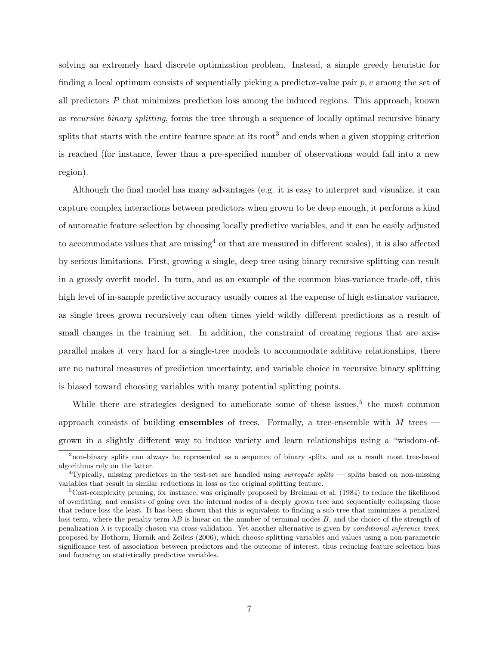solving an extremely hard discrete optimization problem. Instead, a simple greedy heuristic for finding a local optimum consists of sequentially picking a predictor-value pair  $p, v$  among the set of all predictors P that minimizes prediction loss among the induced regions. This approach, known as recursive binary splitting, forms the tree through a sequence of locally optimal recursive binary splits that starts with the entire feature space at its root<sup>[3](#page-6-0)</sup> and ends when a given stopping criterion is reached (for instance, fewer than a pre-specified number of observations would fall into a new region).

Although the final model has many advantages (e.g. it is easy to interpret and visualize, it can capture complex interactions between predictors when grown to be deep enough, it performs a kind of automatic feature selection by choosing locally predictive variables, and it can be easily adjusted to accommodate values that are missing<sup>[4](#page-6-1)</sup> or that are measured in different scales), it is also affected by serious limitations. First, growing a single, deep tree using binary recursive splitting can result in a grossly overfit model. In turn, and as an example of the common bias-variance trade-off, this high level of in-sample predictive accuracy usually comes at the expense of high estimator variance, as single trees grown recursively can often times yield wildly different predictions as a result of small changes in the training set. In addition, the constraint of creating regions that are axisparallel makes it very hard for a single-tree models to accommodate additive relationships, there are no natural measures of prediction uncertainty, and variable choice in recursive binary splitting is biased toward choosing variables with many potential splitting points.

While there are strategies designed to ameliorate some of these issues,<sup>[5](#page-6-2)</sup> the most common approach consists of building **ensembles** of trees. Formally, a tree-ensemble with  $M$  trees grown in a slightly different way to induce variety and learn relationships using a "wisdom-of-

<span id="page-6-0"></span><sup>3</sup>non-binary splits can always be represented as a sequence of binary splits, and as a result most tree-based algorithms rely on the latter.

<span id="page-6-1"></span><sup>&</sup>lt;sup>4</sup>Typically, missing predictors in the test-set are handled using *surrogate splits* — splits based on non-missing variables that result in similar reductions in loss as the original splitting feature.

<span id="page-6-2"></span><sup>5</sup>Cost-complexity pruning, for instance, was originally proposed by [Breiman et al.](#page-21-1) [\(1984\)](#page-21-1) to reduce the likelihood of overfitting, and consists of going over the internal nodes of a deeply grown tree and sequentially collapsing those that reduce loss the least. It has been shown that this is equivalent to finding a sub-tree that minimizes a penalized loss term, where the penalty term  $\lambda B$  is linear on the number of terminal nodes B, and the choice of the strength of penalization  $\lambda$  is typically chosen via cross-validation. Yet another alternative is given by *conditional inference trees*, proposed by [Hothorn, Hornik and Zeileis](#page-22-3) [\(2006\)](#page-22-3), which choose splitting variables and values using a non-parametric significance test of association between predictors and the outcome of interest, thus reducing feature selection bias and focusing on statistically predictive variables.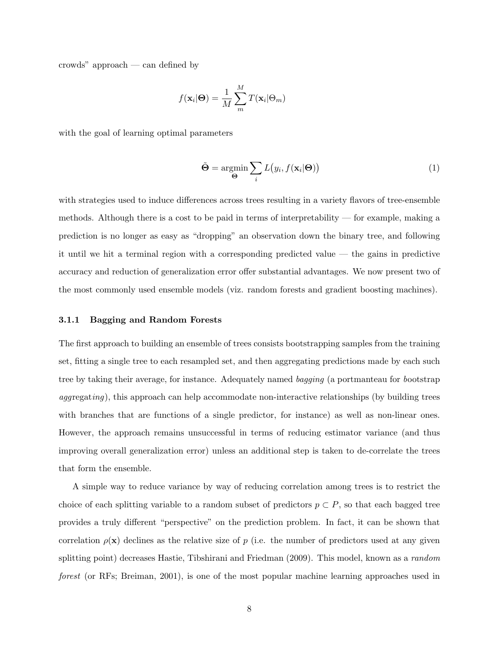crowds" approach — can defined by

$$
f(\mathbf{x}_i|\mathbf{\Theta}) = \frac{1}{M} \sum_{m}^{M} T(\mathbf{x}_i|\Theta_m)
$$

with the goal of learning optimal parameters

<span id="page-7-0"></span>
$$
\tilde{\Theta} = \underset{\Theta}{\text{argmin}} \sum_{i} L(y_i, f(\mathbf{x}_i | \Theta))
$$
\n(1)

with strategies used to induce differences across trees resulting in a variety flavors of tree-ensemble methods. Although there is a cost to be paid in terms of interpretability — for example, making a prediction is no longer as easy as "dropping" an observation down the binary tree, and following it until we hit a terminal region with a corresponding predicted value — the gains in predictive accuracy and reduction of generalization error offer substantial advantages. We now present two of the most commonly used ensemble models (viz. random forests and gradient boosting machines).

#### 3.1.1 Bagging and Random Forests

The first approach to building an ensemble of trees consists bootstrapping samples from the training set, fitting a single tree to each resampled set, and then aggregating predictions made by each such tree by taking their average, for instance. Adequately named bagging (a portmanteau for bootstrap aggregating), this approach can help accommodate non-interactive relationships (by building trees with branches that are functions of a single predictor, for instance) as well as non-linear ones. However, the approach remains unsuccessful in terms of reducing estimator variance (and thus improving overall generalization error) unless an additional step is taken to de-correlate the trees that form the ensemble.

A simple way to reduce variance by way of reducing correlation among trees is to restrict the choice of each splitting variable to a random subset of predictors  $p \subset P$ , so that each bagged tree provides a truly different "perspective" on the prediction problem. In fact, it can be shown that correlation  $\rho(\mathbf{x})$  declines as the relative size of p (i.e. the number of predictors used at any given splitting point) decreases [Hastie, Tibshirani and Friedman](#page-22-0) [\(2009\)](#page-22-0). This model, known as a *random* forest (or RFs; [Breiman, 2001\)](#page-21-2), is one of the most popular machine learning approaches used in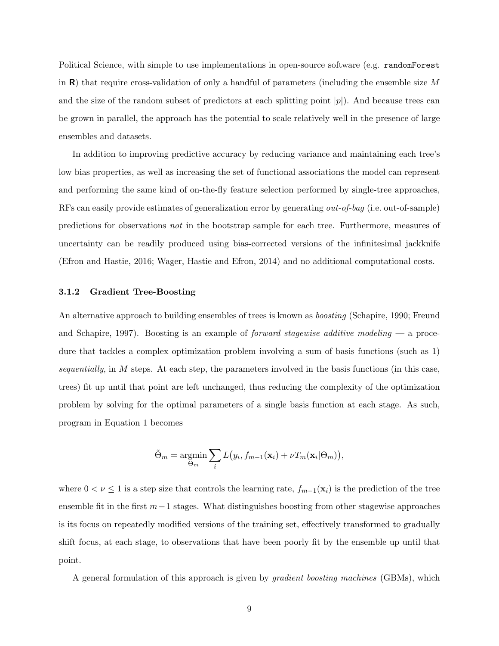Political Science, with simple to use implementations in open-source software (e.g. randomForest in  $\bf{R}$ ) that require cross-validation of only a handful of parameters (including the ensemble size M and the size of the random subset of predictors at each splitting point  $|p|$ ). And because trees can be grown in parallel, the approach has the potential to scale relatively well in the presence of large ensembles and datasets.

In addition to improving predictive accuracy by reducing variance and maintaining each tree's low bias properties, as well as increasing the set of functional associations the model can represent and performing the same kind of on-the-fly feature selection performed by single-tree approaches, RFs can easily provide estimates of generalization error by generating out-of-bag (i.e. out-of-sample) predictions for observations not in the bootstrap sample for each tree. Furthermore, measures of uncertainty can be readily produced using bias-corrected versions of the infinitesimal jackknife [\(Efron and Hastie, 2016;](#page-21-3) [Wager, Hastie and Efron, 2014\)](#page-24-0) and no additional computational costs.

#### 3.1.2 Gradient Tree-Boosting

An alternative approach to building ensembles of trees is known as *boosting* [\(Schapire, 1990;](#page-23-5) [Freund](#page-21-4) [and Schapire, 1997\)](#page-21-4). Boosting is an example of *forward stagewise additive modeling*  $\sim$  a procedure that tackles a complex optimization problem involving a sum of basis functions (such as [1\)](#page-7-0) sequentially, in  $M$  steps. At each step, the parameters involved in the basis functions (in this case, trees) fit up until that point are left unchanged, thus reducing the complexity of the optimization problem by solving for the optimal parameters of a single basis function at each stage. As such, program in Equation [1](#page-7-0) becomes

$$
\tilde{\Theta}_m = \underset{\Theta_m}{\text{argmin}} \sum_i L(y_i, f_{m-1}(\mathbf{x}_i) + \nu T_m(\mathbf{x}_i | \Theta_m)),
$$

where  $0 < \nu \leq 1$  is a step size that controls the learning rate,  $f_{m-1}(\mathbf{x}_i)$  is the prediction of the tree ensemble fit in the first  $m-1$  stages. What distinguishes boosting from other stagewise approaches is its focus on repeatedly modified versions of the training set, effectively transformed to gradually shift focus, at each stage, to observations that have been poorly fit by the ensemble up until that point.

A general formulation of this approach is given by gradient boosting machines (GBMs), which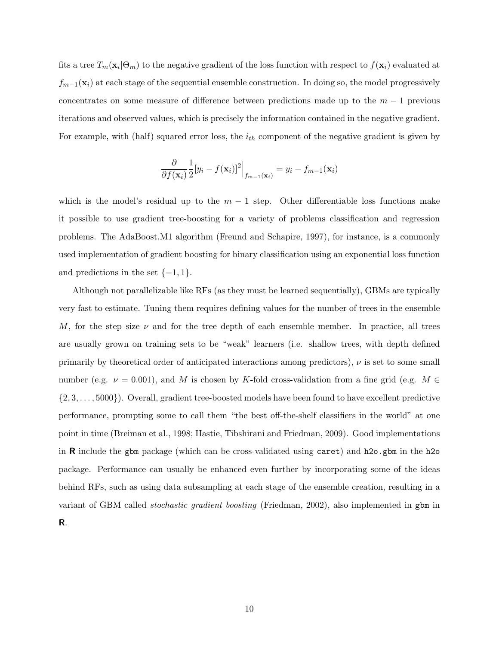fits a tree  $T_m(\mathbf{x}_i | \Theta_m)$  to the negative gradient of the loss function with respect to  $f(\mathbf{x}_i)$  evaluated at  $f_{m-1}(\mathbf{x}_i)$  at each stage of the sequential ensemble construction. In doing so, the model progressively concentrates on some measure of difference between predictions made up to the  $m-1$  previous iterations and observed values, which is precisely the information contained in the negative gradient. For example, with (half) squared error loss, the  $i_{th}$  component of the negative gradient is given by

$$
\frac{\partial}{\partial f(\mathbf{x}_i)} \frac{1}{2} [y_i - f(\mathbf{x}_i)]^2 \Big|_{f_{m-1}(\mathbf{x}_i)} = y_i - f_{m-1}(\mathbf{x}_i)
$$

which is the model's residual up to the  $m-1$  step. Other differentiable loss functions make it possible to use gradient tree-boosting for a variety of problems classification and regression problems. The AdaBoost.M1 algorithm [\(Freund and Schapire, 1997\)](#page-21-4), for instance, is a commonly used implementation of gradient boosting for binary classification using an exponential loss function and predictions in the set  $\{-1, 1\}$ .

Although not parallelizable like RFs (as they must be learned sequentially), GBMs are typically very fast to estimate. Tuning them requires defining values for the number of trees in the ensemble M, for the step size  $\nu$  and for the tree depth of each ensemble member. In practice, all trees are usually grown on training sets to be "weak" learners (i.e. shallow trees, with depth defined primarily by theoretical order of anticipated interactions among predictors),  $\nu$  is set to some small number (e.g.  $\nu = 0.001$ ), and M is chosen by K-fold cross-validation from a fine grid (e.g.  $M \in$  $\{2, 3, \ldots, 5000\}$ . Overall, gradient tree-boosted models have been found to have excellent predictive performance, prompting some to call them "the best off-the-shelf classifiers in the world" at one point in time [\(Breiman et al., 1998;](#page-21-5) [Hastie, Tibshirani and Friedman, 2009\)](#page-22-0). Good implementations in R include the gbm package (which can be cross-validated using caret) and h2o.gbm in the h2o package. Performance can usually be enhanced even further by incorporating some of the ideas behind RFs, such as using data subsampling at each stage of the ensemble creation, resulting in a variant of GBM called stochastic gradient boosting [\(Friedman, 2002\)](#page-21-6), also implemented in gbm in R.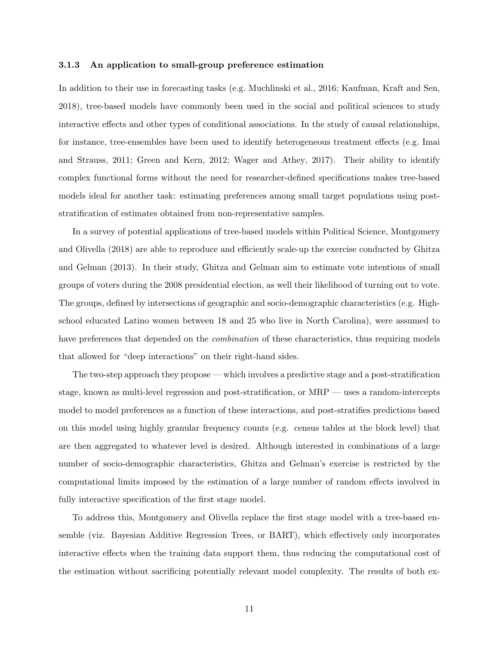#### 3.1.3 An application to small-group preference estimation

In addition to their use in forecasting tasks (e.g. [Muchlinski et al., 2016;](#page-23-6) [Kaufman, Kraft and Sen,](#page-23-7) [2018\)](#page-23-7), tree-based models have commonly been used in the social and political sciences to study interactive effects and other types of conditional associations. In the study of causal relationships, for instance, tree-ensembles have been used to identify heterogeneous treatment effects (e.g. [Imai](#page-22-4) [and Strauss, 2011;](#page-22-4) [Green and Kern, 2012;](#page-22-5) [Wager and Athey, 2017\)](#page-24-1). Their ability to identify complex functional forms without the need for researcher-defined specifications makes tree-based models ideal for another task: estimating preferences among small target populations using poststratification of estimates obtained from non-representative samples.

In a survey of potential applications of tree-based models within Political Science, [Montgomery](#page-23-8) [and Olivella](#page-23-8) [\(2018\)](#page-23-8) are able to reproduce and efficiently scale-up the exercise conducted by [Ghitza](#page-22-6) [and Gelman](#page-22-6) [\(2013\)](#page-22-6). In their study, Ghitza and Gelman aim to estimate vote intentions of small groups of voters during the 2008 presidential election, as well their likelihood of turning out to vote. The groups, defined by intersections of geographic and socio-demographic characteristics (e.g. Highschool educated Latino women between 18 and 25 who live in North Carolina), were assumed to have preferences that depended on the *combination* of these characteristics, thus requiring models that allowed for "deep interactions" on their right-hand sides.

The two-step approach they propose — which involves a predictive stage and a post-stratification stage, known as multi-level regression and post-stratification, or MRP — uses a random-intercepts model to model preferences as a function of these interactions, and post-stratifies predictions based on this model using highly granular frequency counts (e.g. census tables at the block level) that are then aggregated to whatever level is desired. Although interested in combinations of a large number of socio-demographic characteristics, Ghitza and Gelman's exercise is restricted by the computational limits imposed by the estimation of a large number of random effects involved in fully interactive specification of the first stage model.

To address this, Montgomery and Olivella replace the first stage model with a tree-based ensemble (viz. Bayesian Additive Regression Trees, or BART), which effectively only incorporates interactive effects when the training data support them, thus reducing the computational cost of the estimation without sacrificing potentially relevant model complexity. The results of both ex-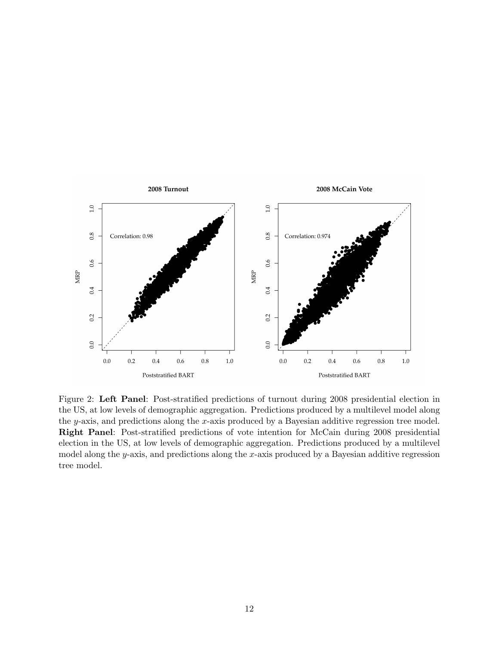<span id="page-11-0"></span>

Figure 2: Left Panel: Post-stratified predictions of turnout during 2008 presidential election in the US, at low levels of demographic aggregation. Predictions produced by a multilevel model along the y-axis, and predictions along the x-axis produced by a Bayesian additive regression tree model. Right Panel: Post-stratified predictions of vote intention for McCain during 2008 presidential election in the US, at low levels of demographic aggregation. Predictions produced by a multilevel model along the y-axis, and predictions along the x-axis produced by a Bayesian additive regression tree model.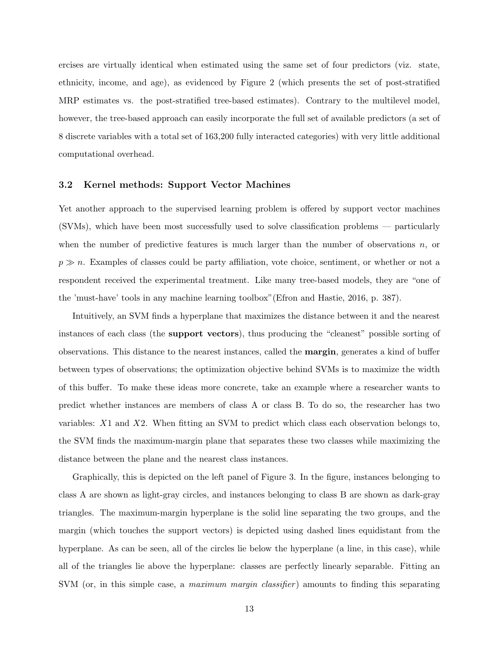ercises are virtually identical when estimated using the same set of four predictors (viz. state, ethnicity, income, and age), as evidenced by Figure [2](#page-11-0) (which presents the set of post-stratified MRP estimates vs. the post-stratified tree-based estimates). Contrary to the multilevel model, however, the tree-based approach can easily incorporate the full set of available predictors (a set of 8 discrete variables with a total set of 163,200 fully interacted categories) with very little additional computational overhead.

#### 3.2 Kernel methods: Support Vector Machines

Yet another approach to the supervised learning problem is offered by support vector machines (SVMs), which have been most successfully used to solve classification problems — particularly when the number of predictive features is much larger than the number of observations  $n$ , or  $p \gg n$ . Examples of classes could be party affiliation, vote choice, sentiment, or whether or not a respondent received the experimental treatment. Like many tree-based models, they are "one of the 'must-have' tools in any machine learning toolbox"[\(Efron and Hastie, 2016,](#page-21-3) p. 387).

Intuitively, an SVM finds a hyperplane that maximizes the distance between it and the nearest instances of each class (the support vectors), thus producing the "cleanest" possible sorting of observations. This distance to the nearest instances, called the margin, generates a kind of buffer between types of observations; the optimization objective behind SVMs is to maximize the width of this buffer. To make these ideas more concrete, take an example where a researcher wants to predict whether instances are members of class A or class B. To do so, the researcher has two variables:  $X1$  and  $X2$ . When fitting an SVM to predict which class each observation belongs to, the SVM finds the maximum-margin plane that separates these two classes while maximizing the distance between the plane and the nearest class instances.

Graphically, this is depicted on the left panel of Figure [3.](#page-13-0) In the figure, instances belonging to class A are shown as light-gray circles, and instances belonging to class B are shown as dark-gray triangles. The maximum-margin hyperplane is the solid line separating the two groups, and the margin (which touches the support vectors) is depicted using dashed lines equidistant from the hyperplane. As can be seen, all of the circles lie below the hyperplane (a line, in this case), while all of the triangles lie above the hyperplane: classes are perfectly linearly separable. Fitting an SVM (or, in this simple case, a maximum margin classifier) amounts to finding this separating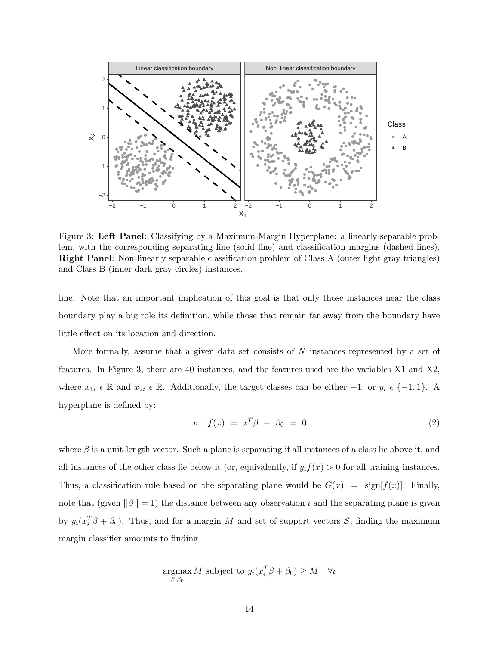<span id="page-13-0"></span>

Figure 3: Left Panel: Classifying by a Maximum-Margin Hyperplane: a linearly-separable problem, with the corresponding separating line (solid line) and classification margins (dashed lines). Right Panel: Non-linearly separable classification problem of Class A (outer light gray triangles) and Class B (inner dark gray circles) instances.

line. Note that an important implication of this goal is that only those instances near the class boundary play a big role its definition, while those that remain far away from the boundary have little effect on its location and direction.

More formally, assume that a given data set consists of  $N$  instances represented by a set of features. In Figure [3,](#page-13-0) there are 40 instances, and the features used are the variables X1 and X2, where  $x_{1i} \in \mathbb{R}$  and  $x_{2i} \in \mathbb{R}$ . Additionally, the target classes can be either  $-1$ , or  $y_i \in \{-1, 1\}$ . A hyperplane is defined by:

<span id="page-13-1"></span>
$$
x: f(x) = x^T \beta + \beta_0 = 0 \tag{2}
$$

where  $\beta$  is a unit-length vector. Such a plane is separating if all instances of a class lie above it, and all instances of the other class lie below it (or, equivalently, if  $y_i f(x) > 0$  for all training instances. Thus, a classification rule based on the separating plane would be  $G(x) = \text{sign}[f(x)]$ . Finally, note that (given  $||\beta|| = 1$ ) the distance between any observation i and the separating plane is given by  $y_i(x_i^T \beta + \beta_0)$ . Thus, and for a margin M and set of support vectors S, finding the maximum margin classifier amounts to finding

$$
\underset{\beta,\beta_0}{\text{argmax}} M \text{ subject to } y_i(x_i^T \beta + \beta_0) \ge M \quad \forall i
$$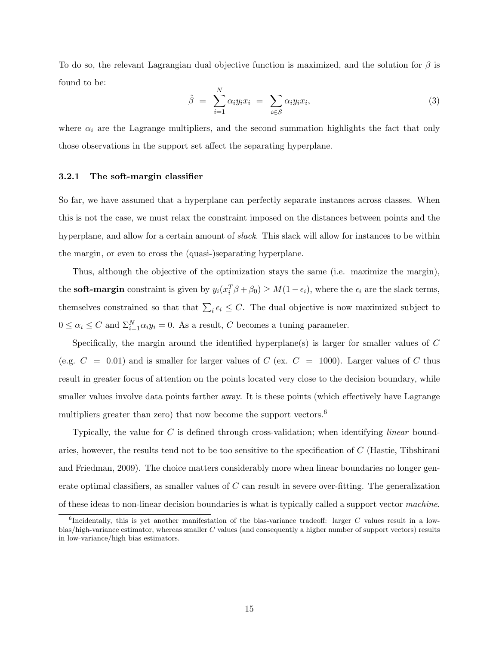To do so, the relevant Lagrangian dual objective function is maximized, and the solution for  $\beta$  is found to be:

$$
\hat{\beta} = \sum_{i=1}^{N} \alpha_i y_i x_i = \sum_{i \in S} \alpha_i y_i x_i, \qquad (3)
$$

where  $\alpha_i$  are the Lagrange multipliers, and the second summation highlights the fact that only those observations in the support set affect the separating hyperplane.

#### 3.2.1 The soft-margin classifier

So far, we have assumed that a hyperplane can perfectly separate instances across classes. When this is not the case, we must relax the constraint imposed on the distances between points and the hyperplane, and allow for a certain amount of *slack*. This slack will allow for instances to be within the margin, or even to cross the (quasi-)separating hyperplane.

Thus, although the objective of the optimization stays the same (i.e. maximize the margin), the **soft-margin** constraint is given by  $y_i(x_i^T \beta + \beta_0) \geq M(1 - \epsilon_i)$ , where the  $\epsilon_i$  are the slack terms, themselves constrained so that that  $\sum_i \epsilon_i \leq C$ . The dual objective is now maximized subject to  $0 \leq \alpha_i \leq C$  and  $\Sigma_{i=1}^N \alpha_i y_i = 0$ . As a result, C becomes a tuning parameter.

Specifically, the margin around the identified hyperplane(s) is larger for smaller values of  $C$ (e.g.  $C = 0.01$ ) and is smaller for larger values of  $C$  (ex.  $C = 1000$ ). Larger values of  $C$  thus result in greater focus of attention on the points located very close to the decision boundary, while smaller values involve data points farther away. It is these points (which effectively have Lagrange multipliers greater than zero) that now become the support vectors.<sup>[6](#page-14-0)</sup>

Typically, the value for C is defined through cross-validation; when identifying *linear* boundaries, however, the results tend not to be too sensitive to the specification of C [\(Hastie, Tibshirani](#page-22-0) [and Friedman, 2009\)](#page-22-0). The choice matters considerably more when linear boundaries no longer generate optimal classifiers, as smaller values of  $C$  can result in severe over-fitting. The generalization of these ideas to non-linear decision boundaries is what is typically called a support vector machine.

<span id="page-14-0"></span><sup>&</sup>lt;sup>6</sup>Incidentally, this is yet another manifestation of the bias-variance tradeoff: larger C values result in a lowbias/high-variance estimator, whereas smaller C values (and consequently a higher number of support vectors) results in low-variance/high bias estimators.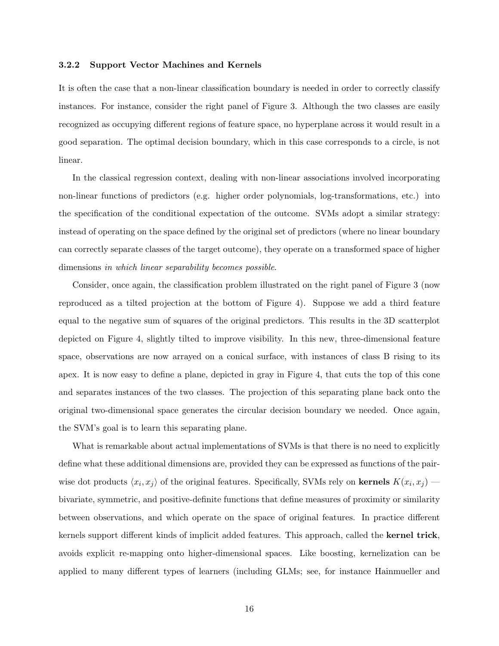#### 3.2.2 Support Vector Machines and Kernels

It is often the case that a non-linear classification boundary is needed in order to correctly classify instances. For instance, consider the right panel of Figure [3.](#page-13-0) Although the two classes are easily recognized as occupying different regions of feature space, no hyperplane across it would result in a good separation. The optimal decision boundary, which in this case corresponds to a circle, is not linear.

In the classical regression context, dealing with non-linear associations involved incorporating non-linear functions of predictors (e.g. higher order polynomials, log-transformations, etc.) into the specification of the conditional expectation of the outcome. SVMs adopt a similar strategy: instead of operating on the space defined by the original set of predictors (where no linear boundary can correctly separate classes of the target outcome), they operate on a transformed space of higher dimensions in which linear separability becomes possible.

Consider, once again, the classification problem illustrated on the right panel of Figure [3](#page-13-0) (now reproduced as a tilted projection at the bottom of Figure [4\)](#page-16-0). Suppose we add a third feature equal to the negative sum of squares of the original predictors. This results in the 3D scatterplot depicted on Figure [4,](#page-16-0) slightly tilted to improve visibility. In this new, three-dimensional feature space, observations are now arrayed on a conical surface, with instances of class B rising to its apex. It is now easy to define a plane, depicted in gray in Figure [4,](#page-16-0) that cuts the top of this cone and separates instances of the two classes. The projection of this separating plane back onto the original two-dimensional space generates the circular decision boundary we needed. Once again, the SVM's goal is to learn this separating plane.

What is remarkable about actual implementations of SVMs is that there is no need to explicitly define what these additional dimensions are, provided they can be expressed as functions of the pairwise dot products  $\langle x_i, x_j \rangle$  of the original features. Specifically, SVMs rely on kernels  $K(x_i, x_j)$ bivariate, symmetric, and positive-definite functions that define measures of proximity or similarity between observations, and which operate on the space of original features. In practice different kernels support different kinds of implicit added features. This approach, called the kernel trick, avoids explicit re-mapping onto higher-dimensional spaces. Like boosting, kernelization can be applied to many different types of learners (including GLMs; see, for instance [Hainmueller and](#page-22-7)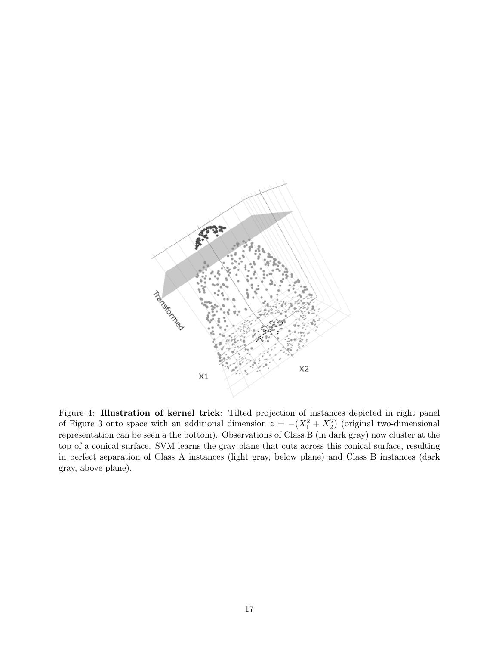<span id="page-16-0"></span>

Figure 4: Illustration of kernel trick: Tilted projection of instances depicted in right panel of Figure [3](#page-13-0) onto space with an additional dimension  $z = -(X_1^2 + X_2^2)$  (original two-dimensional representation can be seen a the bottom). Observations of Class B (in dark gray) now cluster at the top of a conical surface. SVM learns the gray plane that cuts across this conical surface, resulting in perfect separation of Class A instances (light gray, below plane) and Class B instances (dark gray, above plane).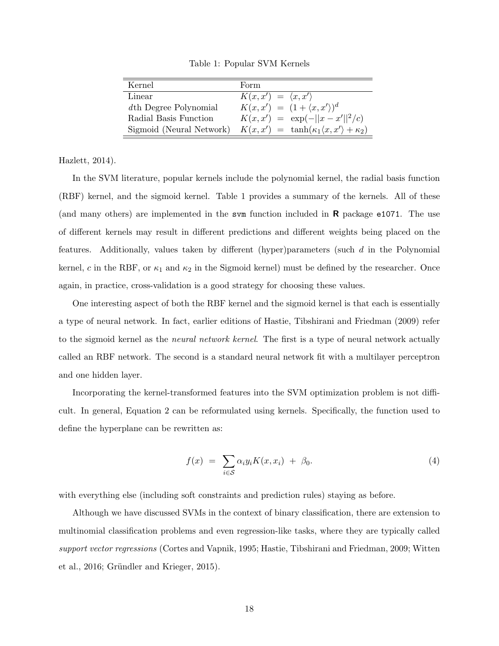Table 1: Popular SVM Kernels

<span id="page-17-0"></span>

| Kernel                   | Form                                                          |
|--------------------------|---------------------------------------------------------------|
| Linear                   | $K(x, x') = \langle x, x' \rangle$                            |
| dth Degree Polynomial    | $K(x, x') = (1 + \langle x, x' \rangle)^d$                    |
| Radial Basis Function    | $K(x, x') = \exp(-  x - x'  ^2/c)$                            |
| Sigmoid (Neural Network) | $K(x, x') = \tanh(\kappa_1 \langle x, x' \rangle + \kappa_2)$ |

[Hazlett, 2014\)](#page-22-7).

In the SVM literature, popular kernels include the polynomial kernel, the radial basis function (RBF) kernel, and the sigmoid kernel. Table [1](#page-17-0) provides a summary of the kernels. All of these (and many others) are implemented in the svm function included in  $\bf{R}$  package e1071. The use of different kernels may result in different predictions and different weights being placed on the features. Additionally, values taken by different (hyper)parameters (such  $d$  in the Polynomial kernel, c in the RBF, or  $\kappa_1$  and  $\kappa_2$  in the Sigmoid kernel) must be defined by the researcher. Once again, in practice, cross-validation is a good strategy for choosing these values.

One interesting aspect of both the RBF kernel and the sigmoid kernel is that each is essentially a type of neural network. In fact, earlier editions of [Hastie, Tibshirani and Friedman](#page-22-0) [\(2009\)](#page-22-0) refer to the sigmoid kernel as the *neural network kernel*. The first is a type of neural network actually called an RBF network. The second is a standard neural network fit with a multilayer perceptron and one hidden layer.

Incorporating the kernel-transformed features into the SVM optimization problem is not difficult. In general, Equation [2](#page-13-1) can be reformulated using kernels. Specifically, the function used to define the hyperplane can be rewritten as:

$$
f(x) = \sum_{i \in S} \alpha_i y_i K(x, x_i) + \beta_0.
$$
 (4)

with everything else (including soft constraints and prediction rules) staying as before.

Although we have discussed SVMs in the context of binary classification, there are extension to multinomial classification problems and even regression-like tasks, where they are typically called support vector regressions [\(Cortes and Vapnik, 1995;](#page-21-7) [Hastie, Tibshirani and Friedman, 2009;](#page-22-0) [Witten](#page-24-2) [et al., 2016;](#page-24-2) Gründler and Krieger, 2015).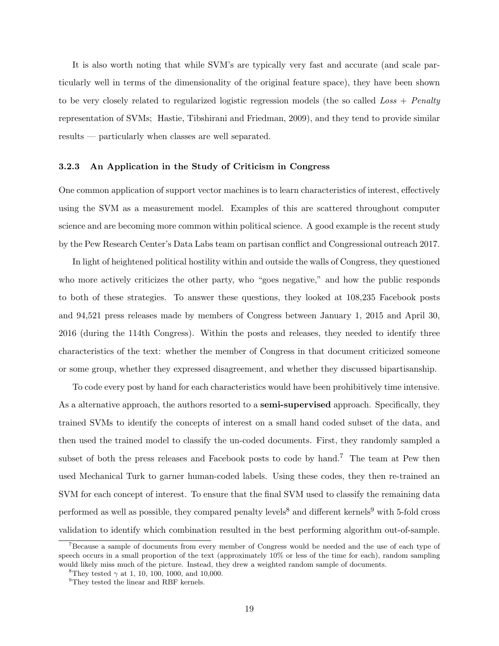It is also worth noting that while SVM's are typically very fast and accurate (and scale particularly well in terms of the dimensionality of the original feature space), they have been shown to be very closely related to regularized logistic regression models (the so called  $Loss + Penalty$ representation of SVMs; [Hastie, Tibshirani and Friedman, 2009\)](#page-22-0), and they tend to provide similar results — particularly when classes are well separated.

#### 3.2.3 An Application in the Study of Criticism in Congress

One common application of support vector machines is to learn characteristics of interest, effectively using the SVM as a measurement model. Examples of this are scattered throughout computer science and are becoming more common within political science. A good example is the recent study by the Pew Research Center's Data Labs team on partisan conflict and Congressional outreach [2017.](#page-23-9)

In light of heightened political hostility within and outside the walls of Congress, they questioned who more actively criticizes the other party, who "goes negative," and how the public responds to both of these strategies. To answer these questions, they looked at 108,235 Facebook posts and 94,521 press releases made by members of Congress between January 1, 2015 and April 30, 2016 (during the 114th Congress). Within the posts and releases, they needed to identify three characteristics of the text: whether the member of Congress in that document criticized someone or some group, whether they expressed disagreement, and whether they discussed bipartisanship.

To code every post by hand for each characteristics would have been prohibitively time intensive. As a alternative approach, the authors resorted to a **semi-supervised** approach. Specifically, they trained SVMs to identify the concepts of interest on a small hand coded subset of the data, and then used the trained model to classify the un-coded documents. First, they randomly sampled a subset of both the press releases and Facebook posts to code by hand.<sup>[7](#page-18-0)</sup> The team at Pew then used Mechanical Turk to garner human-coded labels. Using these codes, they then re-trained an SVM for each concept of interest. To ensure that the final SVM used to classify the remaining data performed as well as possible, they compared penalty levels<sup>[8](#page-18-1)</sup> and different kernels<sup>[9](#page-18-2)</sup> with 5-fold cross validation to identify which combination resulted in the best performing algorithm out-of-sample.

<span id="page-18-0"></span><sup>7</sup>Because a sample of documents from every member of Congress would be needed and the use of each type of speech occurs in a small proportion of the text (approximately 10% or less of the time for each), random sampling would likely miss much of the picture. Instead, they drew a weighted random sample of documents.

<span id="page-18-1"></span><sup>&</sup>lt;sup>8</sup>They tested  $\gamma$  at 1, 10, 100, 1000, and 10,000.

<span id="page-18-2"></span><sup>&</sup>lt;sup>9</sup>They tested the linear and RBF kernels.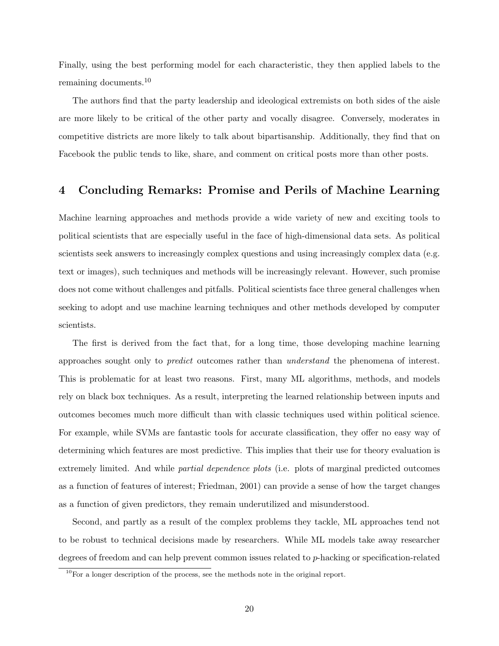Finally, using the best performing model for each characteristic, they then applied labels to the remaining documents.[10](#page-19-0)

The authors find that the party leadership and ideological extremists on both sides of the aisle are more likely to be critical of the other party and vocally disagree. Conversely, moderates in competitive districts are more likely to talk about bipartisanship. Additionally, they find that on Facebook the public tends to like, share, and comment on critical posts more than other posts.

### 4 Concluding Remarks: Promise and Perils of Machine Learning

Machine learning approaches and methods provide a wide variety of new and exciting tools to political scientists that are especially useful in the face of high-dimensional data sets. As political scientists seek answers to increasingly complex questions and using increasingly complex data (e.g. text or images), such techniques and methods will be increasingly relevant. However, such promise does not come without challenges and pitfalls. Political scientists face three general challenges when seeking to adopt and use machine learning techniques and other methods developed by computer scientists.

The first is derived from the fact that, for a long time, those developing machine learning approaches sought only to predict outcomes rather than understand the phenomena of interest. This is problematic for at least two reasons. First, many ML algorithms, methods, and models rely on black box techniques. As a result, interpreting the learned relationship between inputs and outcomes becomes much more difficult than with classic techniques used within political science. For example, while SVMs are fantastic tools for accurate classification, they offer no easy way of determining which features are most predictive. This implies that their use for theory evaluation is extremely limited. And while *partial dependence plots* (i.e. plots of marginal predicted outcomes as a function of features of interest; [Friedman, 2001\)](#page-21-8) can provide a sense of how the target changes as a function of given predictors, they remain underutilized and misunderstood.

Second, and partly as a result of the complex problems they tackle, ML approaches tend not to be robust to technical decisions made by researchers. While ML models take away researcher degrees of freedom and can help prevent common issues related to p-hacking or specification-related

<span id="page-19-0"></span> $10$ For a longer description of the process, see the methods note in the original report.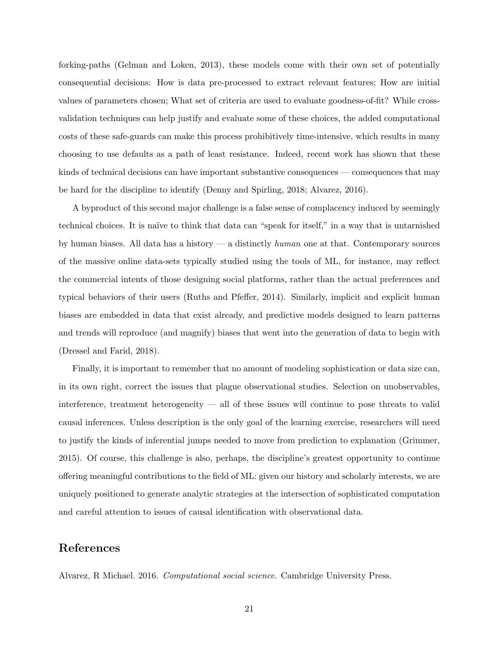forking-paths [\(Gelman and Loken, 2013\)](#page-21-9), these models come with their own set of potentially consequential decisions: How is data pre-processed to extract relevant features; How are initial values of parameters chosen; What set of criteria are used to evaluate goodness-of-fit? While crossvalidation techniques can help justify and evaluate some of these choices, the added computational costs of these safe-guards can make this process prohibitively time-intensive, which results in many choosing to use defaults as a path of least resistance. Indeed, recent work has shown that these kinds of technical decisions can have important substantive consequences — consequences that may be hard for the discipline to identify [\(Denny and Spirling, 2018;](#page-21-10) [Alvarez, 2016\)](#page-20-0).

A byproduct of this second major challenge is a false sense of complacency induced by seemingly technical choices. It is na¨ıve to think that data can "speak for itself," in a way that is untarnished by human biases. All data has a history — a distinctly  $human$  one at that. Contemporary sources of the massive online data-sets typically studied using the tools of ML, for instance, may reflect the commercial intents of those designing social platforms, rather than the actual preferences and typical behaviors of their users [\(Ruths and Pfeffer, 2014\)](#page-23-10). Similarly, implicit and explicit human biases are embedded in data that exist already, and predictive models designed to learn patterns and trends will reproduce (and magnify) biases that went into the generation of data to begin with [\(Dressel and Farid, 2018\)](#page-21-11).

Finally, it is important to remember that no amount of modeling sophistication or data size can, in its own right, correct the issues that plague observational studies. Selection on unobservables, interference, treatment heterogeneity — all of these issues will continue to pose threats to valid causal inferences. Unless description is the only goal of the learning exercise, researchers will need to justify the kinds of inferential jumps needed to move from prediction to explanation [\(Grimmer,](#page-22-9) [2015\)](#page-22-9). Of course, this challenge is also, perhaps, the discipline's greatest opportunity to continue offering meaningful contributions to the field of ML: given our history and scholarly interests, we are uniquely positioned to generate analytic strategies at the intersection of sophisticated computation and careful attention to issues of causal identification with observational data.

### References

<span id="page-20-0"></span>Alvarez, R Michael. 2016. Computational social science. Cambridge University Press.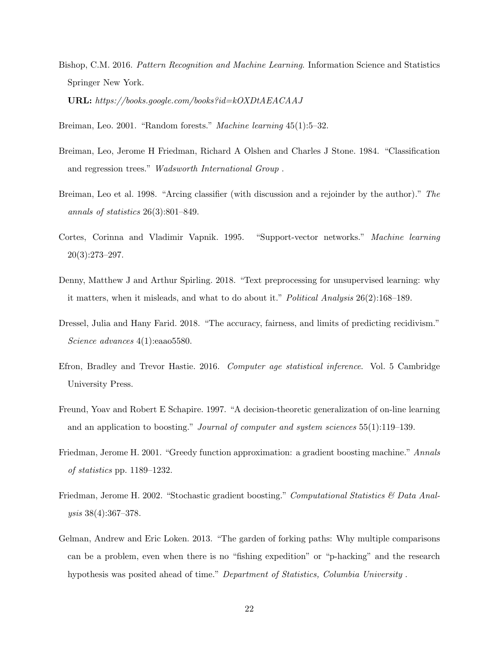<span id="page-21-0"></span>Bishop, C.M. 2016. Pattern Recognition and Machine Learning. Information Science and Statistics Springer New York.

URL: https://books.google.com/books?id=kOXDtAEACAAJ

<span id="page-21-2"></span>Breiman, Leo. 2001. "Random forests." Machine learning 45(1):5–32.

- <span id="page-21-1"></span>Breiman, Leo, Jerome H Friedman, Richard A Olshen and Charles J Stone. 1984. "Classification and regression trees." Wadsworth International Group .
- <span id="page-21-5"></span>Breiman, Leo et al. 1998. "Arcing classifier (with discussion and a rejoinder by the author)." The annals of statistics 26(3):801–849.
- <span id="page-21-7"></span>Cortes, Corinna and Vladimir Vapnik. 1995. "Support-vector networks." Machine learning  $20(3):273-297.$
- <span id="page-21-10"></span>Denny, Matthew J and Arthur Spirling. 2018. "Text preprocessing for unsupervised learning: why it matters, when it misleads, and what to do about it." Political Analysis 26(2):168–189.
- <span id="page-21-11"></span>Dressel, Julia and Hany Farid. 2018. "The accuracy, fairness, and limits of predicting recidivism." Science advances 4(1):eaao5580.
- <span id="page-21-3"></span>Efron, Bradley and Trevor Hastie. 2016. Computer age statistical inference. Vol. 5 Cambridge University Press.
- <span id="page-21-4"></span>Freund, Yoav and Robert E Schapire. 1997. "A decision-theoretic generalization of on-line learning and an application to boosting." Journal of computer and system sciences 55(1):119–139.
- <span id="page-21-8"></span>Friedman, Jerome H. 2001. "Greedy function approximation: a gradient boosting machine." Annals of statistics pp. 1189–1232.
- <span id="page-21-6"></span>Friedman, Jerome H. 2002. "Stochastic gradient boosting." Computational Statistics & Data Analysis 38(4):367–378.
- <span id="page-21-9"></span>Gelman, Andrew and Eric Loken. 2013. "The garden of forking paths: Why multiple comparisons can be a problem, even when there is no "fishing expedition" or "p-hacking" and the research hypothesis was posited ahead of time." Department of Statistics, Columbia University .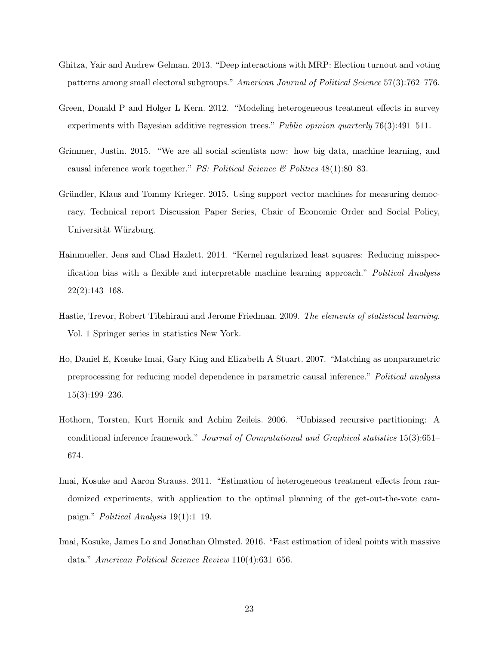- <span id="page-22-6"></span>Ghitza, Yair and Andrew Gelman. 2013. "Deep interactions with MRP: Election turnout and voting patterns among small electoral subgroups." American Journal of Political Science 57(3):762–776.
- <span id="page-22-5"></span>Green, Donald P and Holger L Kern. 2012. "Modeling heterogeneous treatment effects in survey experiments with Bayesian additive regression trees." Public opinion quarterly 76(3):491–511.
- <span id="page-22-9"></span>Grimmer, Justin. 2015. "We are all social scientists now: how big data, machine learning, and causal inference work together." *PS: Political Science*  $\mathcal{B}'$  *Politics* 48(1):80–83.
- <span id="page-22-8"></span>Gründler, Klaus and Tommy Krieger. 2015. Using support vector machines for measuring democracy. Technical report Discussion Paper Series, Chair of Economic Order and Social Policy, Universität Würzburg.
- <span id="page-22-7"></span>Hainmueller, Jens and Chad Hazlett. 2014. "Kernel regularized least squares: Reducing misspecification bias with a flexible and interpretable machine learning approach." Political Analysis  $22(2):143-168.$
- <span id="page-22-0"></span>Hastie, Trevor, Robert Tibshirani and Jerome Friedman. 2009. The elements of statistical learning. Vol. 1 Springer series in statistics New York.
- <span id="page-22-2"></span>Ho, Daniel E, Kosuke Imai, Gary King and Elizabeth A Stuart. 2007. "Matching as nonparametric preprocessing for reducing model dependence in parametric causal inference." Political analysis 15(3):199–236.
- <span id="page-22-3"></span>Hothorn, Torsten, Kurt Hornik and Achim Zeileis. 2006. "Unbiased recursive partitioning: A conditional inference framework." Journal of Computational and Graphical statistics 15(3):651– 674.
- <span id="page-22-4"></span>Imai, Kosuke and Aaron Strauss. 2011. "Estimation of heterogeneous treatment effects from randomized experiments, with application to the optimal planning of the get-out-the-vote campaign." Political Analysis 19(1):1–19.
- <span id="page-22-1"></span>Imai, Kosuke, James Lo and Jonathan Olmsted. 2016. "Fast estimation of ideal points with massive data." American Political Science Review 110(4):631–656.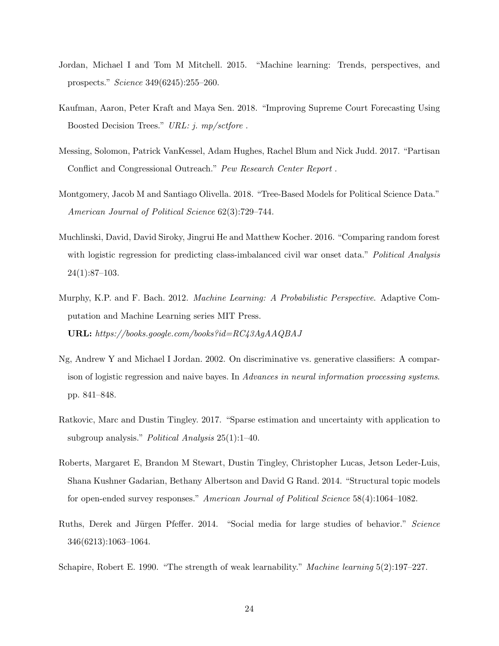- <span id="page-23-0"></span>Jordan, Michael I and Tom M Mitchell. 2015. "Machine learning: Trends, perspectives, and prospects." Science 349(6245):255–260.
- <span id="page-23-7"></span>Kaufman, Aaron, Peter Kraft and Maya Sen. 2018. "Improving Supreme Court Forecasting Using Boosted Decision Trees." URL: j. mp/sctfore .
- <span id="page-23-9"></span>Messing, Solomon, Patrick VanKessel, Adam Hughes, Rachel Blum and Nick Judd. 2017. "Partisan Conflict and Congressional Outreach." Pew Research Center Report .
- <span id="page-23-8"></span>Montgomery, Jacob M and Santiago Olivella. 2018. "Tree-Based Models for Political Science Data." American Journal of Political Science 62(3):729–744.
- <span id="page-23-6"></span>Muchlinski, David, David Siroky, Jingrui He and Matthew Kocher. 2016. "Comparing random forest with logistic regression for predicting class-imbalanced civil war onset data." Political Analysis  $24(1):87-103.$
- <span id="page-23-4"></span>Murphy, K.P. and F. Bach. 2012. Machine Learning: A Probabilistic Perspective. Adaptive Computation and Machine Learning series MIT Press. URL: https://books.google.com/books?id=RC43AgAAQBAJ
- <span id="page-23-3"></span>Ng, Andrew Y and Michael I Jordan. 2002. On discriminative vs. generative classifiers: A comparison of logistic regression and naive bayes. In Advances in neural information processing systems. pp. 841–848.
- <span id="page-23-2"></span>Ratkovic, Marc and Dustin Tingley. 2017. "Sparse estimation and uncertainty with application to subgroup analysis." Political Analysis 25(1):1–40.
- <span id="page-23-1"></span>Roberts, Margaret E, Brandon M Stewart, Dustin Tingley, Christopher Lucas, Jetson Leder-Luis, Shana Kushner Gadarian, Bethany Albertson and David G Rand. 2014. "Structural topic models for open-ended survey responses." American Journal of Political Science 58(4):1064–1082.
- <span id="page-23-10"></span>Ruths, Derek and Jürgen Pfeffer. 2014. "Social media for large studies of behavior." Science 346(6213):1063–1064.
- <span id="page-23-5"></span>Schapire, Robert E. 1990. "The strength of weak learnability." Machine learning 5(2):197–227.